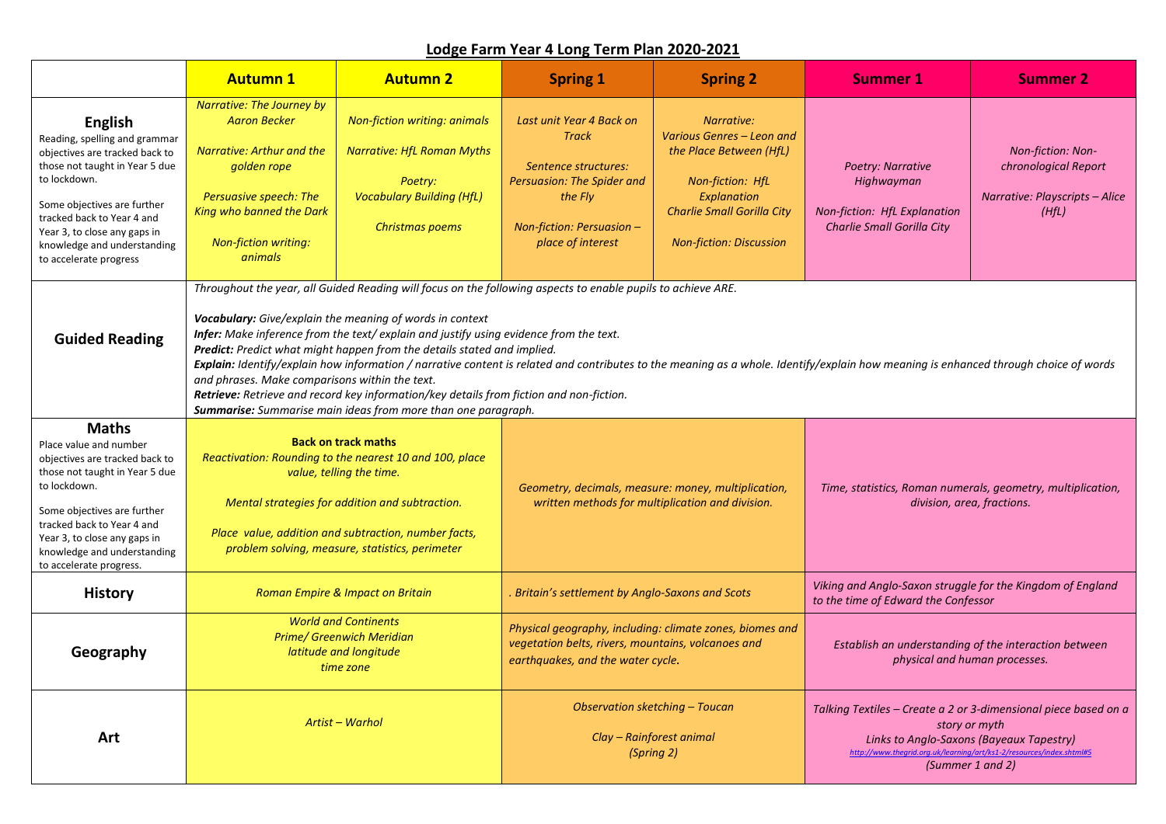## **Lodge Farm Year 4 Long Term Plan 2020-2021**

|                                                                                                                                                                                                                                                                                           | <b>Autumn 1</b>                                                                                                                                                                                                                                                                                                                                                                                                                                                                                                                                                                                                                                                                                                                                           | <b>Autumn 2</b>                                                                                                                            | <b>Spring 1</b>                                                                                                                                             | <b>Spring 2</b>                                                                                                                                                              | <b>Summer 1</b>                                                                                                                                                                                                          | <b>Summer 2</b>                                                                             |  |  |  |
|-------------------------------------------------------------------------------------------------------------------------------------------------------------------------------------------------------------------------------------------------------------------------------------------|-----------------------------------------------------------------------------------------------------------------------------------------------------------------------------------------------------------------------------------------------------------------------------------------------------------------------------------------------------------------------------------------------------------------------------------------------------------------------------------------------------------------------------------------------------------------------------------------------------------------------------------------------------------------------------------------------------------------------------------------------------------|--------------------------------------------------------------------------------------------------------------------------------------------|-------------------------------------------------------------------------------------------------------------------------------------------------------------|------------------------------------------------------------------------------------------------------------------------------------------------------------------------------|--------------------------------------------------------------------------------------------------------------------------------------------------------------------------------------------------------------------------|---------------------------------------------------------------------------------------------|--|--|--|
| <b>English</b><br>Reading, spelling and grammar<br>objectives are tracked back to<br>those not taught in Year 5 due<br>to lockdown.<br>Some objectives are further<br>tracked back to Year 4 and<br>Year 3, to close any gaps in<br>knowledge and understanding<br>to accelerate progress | Narrative: The Journey by<br><b>Aaron Becker</b><br>Narrative: Arthur and the<br>golden rope<br>Persuasive speech: The<br>King who banned the Dark<br><b>Non-fiction writing:</b><br><i>animals</i>                                                                                                                                                                                                                                                                                                                                                                                                                                                                                                                                                       | <b>Non-fiction writing: animals</b><br><b>Narrative: HfL Roman Myths</b><br>Poetry:<br><b>Vocabulary Building (HfL)</b><br>Christmas poems | Last unit Year 4 Back on<br><b>Track</b><br>Sentence structures:<br>Persuasion: The Spider and<br>the Fly<br>Non-fiction: Persuasion -<br>place of interest | Narrative:<br>Various Genres - Leon and<br>the Place Between (HfL)<br>Non-fiction: HfL<br>Explanation<br><b>Charlie Small Gorilla City</b><br><b>Non-fiction: Discussion</b> | Poetry: Narrative<br>Highwayman<br>Non-fiction: HfL Explanation<br>Charlie Small Gorilla City                                                                                                                            | <b>Non-fiction: Non-</b><br>chronological Report<br>Narrative: Playscripts - Alice<br>(HfL) |  |  |  |
| <b>Guided Reading</b>                                                                                                                                                                                                                                                                     | Throughout the year, all Guided Reading will focus on the following aspects to enable pupils to achieve ARE.<br><b>Vocabulary:</b> Give/explain the meaning of words in context<br>Infer: Make inference from the text/explain and justify using evidence from the text.<br>Predict: Predict what might happen from the details stated and implied.<br>Explain: Identify/explain how information / narrative content is related and contributes to the meaning as a whole. Identify/explain how meaning is enhanced through choice of words<br>and phrases. Make comparisons within the text.<br>Retrieve: Retrieve and record key information/key details from fiction and non-fiction.<br>Summarise: Summarise main ideas from more than one paragraph. |                                                                                                                                            |                                                                                                                                                             |                                                                                                                                                                              |                                                                                                                                                                                                                          |                                                                                             |  |  |  |
| <b>Maths</b><br>Place value and number<br>objectives are tracked back to<br>those not taught in Year 5 due<br>to lockdown.<br>Some objectives are further<br>tracked back to Year 4 and<br>Year 3, to close any gaps in<br>knowledge and understanding<br>to accelerate progress.         | <b>Back on track maths</b><br>Reactivation: Rounding to the nearest 10 and 100, place<br>value, telling the time.<br>Mental strategies for addition and subtraction.<br>Place value, addition and subtraction, number facts,<br>problem solving, measure, statistics, perimeter                                                                                                                                                                                                                                                                                                                                                                                                                                                                           |                                                                                                                                            | Geometry, decimals, measure: money, multiplication,<br>written methods for multiplication and division.                                                     |                                                                                                                                                                              | Time, statistics, Roman numerals, geometry, multiplication,<br>division, area, fractions.                                                                                                                                |                                                                                             |  |  |  |
| <b>History</b>                                                                                                                                                                                                                                                                            | Roman Empire & Impact on Britain                                                                                                                                                                                                                                                                                                                                                                                                                                                                                                                                                                                                                                                                                                                          |                                                                                                                                            | Britain's settlement by Anglo-Saxons and Scots                                                                                                              |                                                                                                                                                                              | Viking and Anglo-Saxon struggle for the Kingdom of England<br>to the time of Edward the Confessor                                                                                                                        |                                                                                             |  |  |  |
| Geography                                                                                                                                                                                                                                                                                 | <b>World and Continents</b><br><b>Prime/ Greenwich Meridian</b><br>latitude and longitude<br>time zone                                                                                                                                                                                                                                                                                                                                                                                                                                                                                                                                                                                                                                                    |                                                                                                                                            | Physical geography, including: climate zones, biomes and<br>vegetation belts, rivers, mountains, volcanoes and<br>earthquakes, and the water cycle.         |                                                                                                                                                                              | Establish an understanding of the interaction between<br>physical and human processes.                                                                                                                                   |                                                                                             |  |  |  |
| Art                                                                                                                                                                                                                                                                                       | Artist - Warhol                                                                                                                                                                                                                                                                                                                                                                                                                                                                                                                                                                                                                                                                                                                                           |                                                                                                                                            | <b>Observation sketching - Toucan</b><br>Clay - Rainforest animal<br>(Spring 2)                                                                             |                                                                                                                                                                              | Talking Textiles - Create a 2 or 3-dimensional piece based on a<br>story or myth<br>Links to Anglo-Saxons (Bayeaux Tapestry)<br>http://www.thegrid.org.uk/learning/art/ks1-2/resources/index.shtml#5<br>(Summer 1 and 2) |                                                                                             |  |  |  |